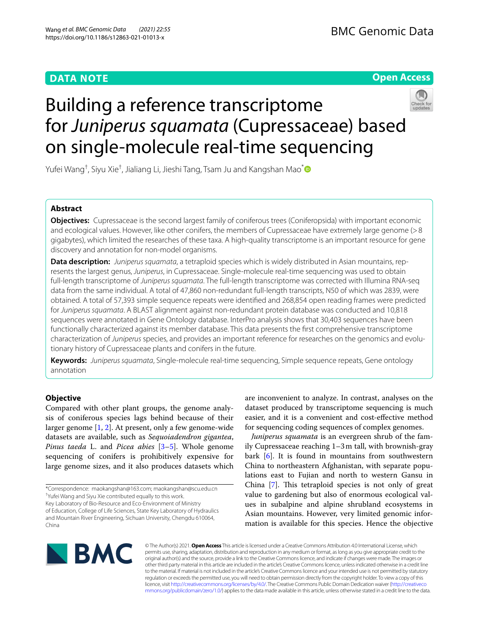# **DATA NOTE**

# **Open Access**



# Building a reference transcriptome for *Juniperus squamata* (Cupressaceae) based on single-molecule real-time sequencing

Yufei Wang<sup>†</sup>, Siyu Xie<sup>†</sup>, Jialiang Li, Jieshi Tang, Tsam Ju and Kangshan Mao<sup>[\\*](http://orcid.org/0000-0002-0071-1844)</sup>

# **Abstract**

**Objectives:** Cupressaceae is the second largest family of coniferous trees (Coniferopsida) with important economic and ecological values. However, like other conifers, the members of Cupressaceae have extremely large genome (>8 gigabytes), which limited the researches of these taxa. A high-quality transcriptome is an important resource for gene discovery and annotation for non-model organisms.

**Data description:** *Juniperus squamata*, a tetraploid species which is widely distributed in Asian mountains, represents the largest genus, *Juniperus*, in Cupressaceae. Single-molecule real-time sequencing was used to obtain full-length transcriptome of *Juniperus squamata*. The full-length transcriptome was corrected with Illumina RNA-seq data from the same individual. A total of 47,860 non-redundant full-length transcripts, N50 of which was 2839, were obtained. A total of 57,393 simple sequence repeats were identifed and 268,854 open reading frames were predicted for *Juniperus squamata*. A BLAST alignment against non-redundant protein database was conducted and 10,818 sequences were annotated in Gene Ontology database. InterPro analysis shows that 30,403 sequences have been functionally characterized against its member database. This data presents the frst comprehensive transcriptome characterization of *Juniperus* species, and provides an important reference for researches on the genomics and evolutionary history of Cupressaceae plants and conifers in the future.

**Keywords:** *Juniperus squamata*, Single-molecule real-time sequencing, Simple sequence repeats, Gene ontology annotation

# **Objective**

Compared with other plant groups, the genome analysis of coniferous species lags behind because of their larger genome  $[1, 2]$  $[1, 2]$  $[1, 2]$  $[1, 2]$ . At present, only a few genome-wide datasets are available, such as *Sequoiadendron gigantea*, *Pinus taeda* L. and *Picea abies* [\[3–](#page-2-2)[5\]](#page-2-3). Whole genome sequencing of conifers is prohibitively expensive for large genome sizes, and it also produces datasets which

are inconvenient to analyze. In contrast, analyses on the dataset produced by transcriptome sequencing is much easier, and it is a convenient and cost-efective method for sequencing coding sequences of complex genomes.

*Juniperus squamata* is an evergreen shrub of the family Cupressaceae reaching 1–3m tall, with brownish-gray bark [[6\]](#page-2-4). It is found in mountains from southwestern China to northeastern Afghanistan, with separate populations east to Fujian and north to western Gansu in China  $[7]$  $[7]$ . This tetraploid species is not only of great value to gardening but also of enormous ecological values in subalpine and alpine shrubland ecosystems in Asian mountains. However, very limited genomic information is available for this species. Hence the objective



© The Author(s) 2021. **Open Access** This article is licensed under a Creative Commons Attribution 4.0 International License, which permits use, sharing, adaptation, distribution and reproduction in any medium or format, as long as you give appropriate credit to the original author(s) and the source, provide a link to the Creative Commons licence, and indicate if changes were made. The images or other third party material in this article are included in the article's Creative Commons licence, unless indicated otherwise in a credit line to the material. If material is not included in the article's Creative Commons licence and your intended use is not permitted by statutory regulation or exceeds the permitted use, you will need to obtain permission directly from the copyright holder. To view a copy of this licence, visit [http://creativecommons.org/licenses/by/4.0/.](http://creativecommons.org/licenses/by/4.0/) The Creative Commons Public Domain Dedication waiver ([http://creativeco](http://creativecommons.org/publicdomain/zero/1.0/) [mmons.org/publicdomain/zero/1.0/](http://creativecommons.org/publicdomain/zero/1.0/)) applies to the data made available in this article, unless otherwise stated in a credit line to the data.

<sup>\*</sup>Correspondence: maokangshan@163.com; maokangshan@scu.edu.cn † Yufei Wang and Siyu Xie contributed equally to this work. Key Laboratory of Bio-Resource and Eco-Environment of Ministry of Education, College of Life Sciences, State Key Laboratory of Hydraulics and Mountain River Engineering, Sichuan University, Chengdu 610064, China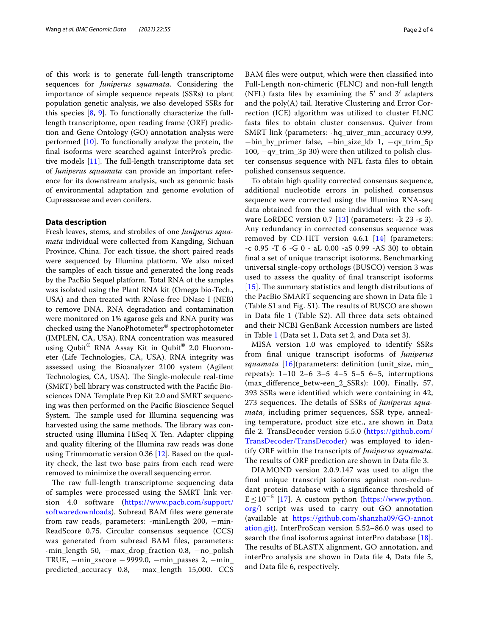of this work is to generate full-length transcriptome sequences for *Juniperus squamata*. Considering the importance of simple sequence repeats (SSRs) to plant population genetic analysis, we also developed SSRs for this species  $[8, 9]$  $[8, 9]$  $[8, 9]$  $[8, 9]$ . To functionally characterize the fulllength transcriptome, open reading frame (ORF) prediction and Gene Ontology (GO) annotation analysis were performed [[10\]](#page-2-8). To functionally analyze the protein, the fnal isoforms were searched against InterPro's predictive models  $[11]$  $[11]$  $[11]$ . The full-length transcriptome data set of *Juniperus squamata* can provide an important reference for its downstream analysis, such as genomic basis of environmental adaptation and genome evolution of Cupressaceae and even conifers.

## **Data description**

Fresh leaves, stems, and strobiles of one *Juniperus squamata* individual were collected from Kangding, Sichuan Province, China. For each tissue, the short paired reads were sequenced by Illumina platform. We also mixed the samples of each tissue and generated the long reads by the PacBio Sequel platform. Total RNA of the samples was isolated using the Plant RNA kit (Omega bio-Tech., USA) and then treated with RNase-free DNase I (NEB) to remove DNA. RNA degradation and contamination were monitored on 1% agarose gels and RNA purity was checked using the NanoPhotometer® spectrophotometer (IMPLEN, CA, USA). RNA concentration was measured using Qubit<sup>®</sup> RNA Assay Kit in Qubit<sup>®</sup> 2.0 Fluorometer (Life Technologies, CA, USA). RNA integrity was assessed using the Bioanalyzer 2100 system (Agilent Technologies, CA, USA). The Single-molecule real-time (SMRT) bell library was constructed with the Pacifc Biosciences DNA Template Prep Kit 2.0 and SMRT sequencing was then performed on the Pacifc Bioscience Sequel System. The sample used for Illumina sequencing was harvested using the same methods. The library was constructed using Illumina HiSeq X Ten. Adapter clipping and quality fltering of the Illumina raw reads was done using Trimmomatic version 0.36 [[12\]](#page-2-10). Based on the quality check, the last two base pairs from each read were removed to minimize the overall sequencing error.

The raw full-length transcriptome sequencing data of samples were processed using the SMRT link version 4.0 software ([https://www.pacb.com/support/](https://www.pacb.com/support/softwaredownloads) [softwaredownloads](https://www.pacb.com/support/softwaredownloads)). Subread BAM fles were generate from raw reads, parameters: -minLength 200, -min-ReadScore 0.75. Circular consensus sequence (CCS) was generated from subread BAM fles, parameters: -min\_length 50, −max\_drop\_fraction 0.8, −no\_polish TRUE, −min\_zscore −9999.0, −min\_passes 2, −min\_ predicted\_accuracy 0.8, -max\_length 15,000. CCS BAM fles were output, which were then classifed into Full-Length non-chimeric (FLNC) and non-full length (NFL) fasta fles by examining the 5′ and 3′ adapters and the poly(A) tail. Iterative Clustering and Error Correction (ICE) algorithm was utilized to cluster FLNC fasta fles to obtain cluster consensus. Quiver from SMRT link (parameters: -hq\_uiver\_min\_accuracy 0.99, −bin\_by\_primer false, −bin\_size\_kb 1, −qv\_trim\_5p 100, −qv\_trim\_3p 30) were then utilized to polish cluster consensus sequence with NFL fasta fles to obtain polished consensus sequence.

To obtain high quality corrected consensus sequence, additional nucleotide errors in polished consensus sequence were corrected using the Illumina RNA-seq data obtained from the same individual with the soft-ware LoRDEC version 0.7 [\[13](#page-2-11)] (parameters: -k 23 -s 3). Any redundancy in corrected consensus sequence was removed by CD-HIT version 4.6.1 [[14](#page-3-0)] (parameters: -c 0.95 -T 6 -G 0 - aL 0.00 -aS 0.99 -AS 30) to obtain fnal a set of unique transcript isoforms. Benchmarking universal single-copy orthologs (BUSCO) version 3 was used to assess the quality of fnal transcript isoforms [[15](#page-3-1)]. The summary statistics and length distributions of the PacBio SMART sequencing are shown in Data fle 1 (Table S1 and Fig. S1). The results of BUSCO are shown in Data fle 1 (Table S2). All three data sets obtained and their NCBI GenBank Accession numbers are listed in Table [1](#page-2-12) (Data set 1, Data set 2, and Data set 3).

MISA version 1.0 was employed to identify SSRs from fnal unique transcript isoforms of *Juniperus squamata* [[16](#page-3-2)](parameters: defnition (unit\_size, min\_ repeats): 1–10 2–6 3–5 4–5 5–5 6–5, interruptions (max\_diference\_betw-een\_2\_SSRs): 100). Finally, 57, 393 SSRs were identifed which were containing in 42, 273 sequences. The details of SSRs of *Juniperus squamata*, including primer sequences, SSR type, annealing temperature, product size etc., are shown in Data fle 2. TransDecoder version 5.5.0 ([https://github.com/](https://github.com/TransDecoder/TransDecoder) [TransDecoder/TransDecoder\)](https://github.com/TransDecoder/TransDecoder) was employed to identify ORF within the transcripts of *Juniperus squamata*. The results of ORF prediction are shown in Data file 3.

DIAMOND version 2.0.9.147 was used to align the fnal unique transcript isoforms against non-redundant protein database with a signifcance threshold of  $E \le 10^{-5}$  [[17](#page-3-3)]. A custom python [\(https://www.python.](https://www.python.org/) [org/](https://www.python.org/)) script was used to carry out GO annotation (available at [https://github.com/shanzha09/GO-annot](https://github.com/shanzha09/GO-annotation.git) [ation.git\)](https://github.com/shanzha09/GO-annotation.git). InterProScan version 5.52–86.0 was used to search the fnal isoforms against interPro database [[18](#page-3-4)]. The results of BLASTX alignment, GO annotation, and interPro analysis are shown in Data fle 4, Data fle 5, and Data fle 6, respectively.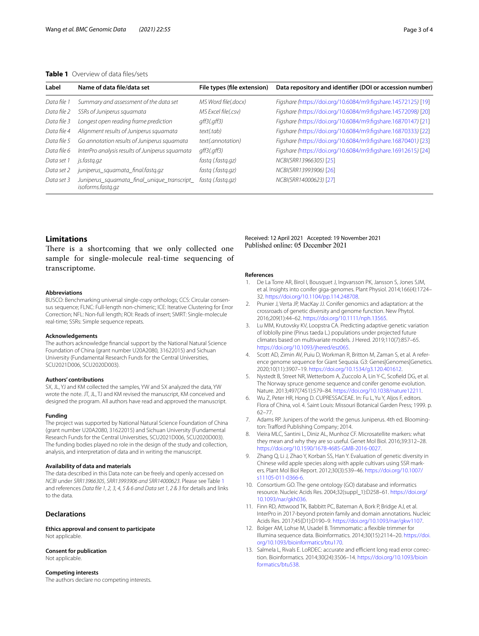## <span id="page-2-12"></span>**Table 1** Overview of data fles/sets

| Label       | Name of data file/data set                                       | File types (file extension) | Data repository and identifier (DOI or accession number)     |
|-------------|------------------------------------------------------------------|-----------------------------|--------------------------------------------------------------|
| Data file 1 | Summary and assessment of the data set                           | MS Word file(.docx)         | Figshare (https://doi.org/10.6084/m9.figshare.14572125) [19] |
| Data file 2 | SSRs of Juniperus squamata                                       | MS Excel file(.csv)         | Figshare (https://doi.org/10.6084/m9.figshare.14572098) [20] |
| Data file 3 | Longest open reading frame prediction                            | $qff3$ ( $qff3$ )           | Figshare (https://doi.org/10.6084/m9.figshare.16870147) [21] |
| Data file 4 | Alignment results of Juniperus squamata                          | text(.tab)                  | Figshare (https://doi.org/10.6084/m9.figshare.16870333) [22] |
| Data file 5 | Go annotation results of Juniperus squamata                      | text(.annotation)           | Figshare (https://doi.org/10.6084/m9.figshare.16870401) [23] |
| Data file 6 | InterPro analysis results of Juniperus squamata                  | $qff3$ ( $qff3$ )           | Figshare (https://doi.org/10.6084/m9.figshare.16912615) [24] |
| Data set 1  | js.fastq.gz                                                      | fastg (fastg.gz)            | NCBI(SRR13966305) [25]                                       |
| Data set 2  | juniperus_squamata_final.fastq.qz                                | fastg (fastg.gz)            | NCBI(SRR13993906) [26]                                       |
| Data set 3  | Juniperus_squamata_final_unique_transcript_<br>isoforms.fastg.gz | fastg (fastg.gz)            | NCBI(SRR14000623) [27]                                       |

## **Limitations**

There is a shortcoming that we only collected one sample for single-molecule real-time sequencing of transcriptome.

#### **Abbreviations**

BUSCO: Benchmarking universal single-copy orthologs; CCS: Circular consensus sequence; FLNC: Full-length non-chimeric; ICE: Iterative Clustering for Error Correction; NFL: Non-full length; ROI: Reads of insert; SMRT: Single-molecule real-time; SSRs: Simple sequence repeats.

#### **Acknowledgements**

The authors acknowledge fnancial support by the National Natural Science Foundation of China (grant number U20A2080, 31622015) and Sichuan University (Fundamental Research Funds for the Central Universities, SCU2021D006, SCU2020D003).

#### **Authors' contributions**

SX, JL, YJ and KM collected the samples, YW and SX analyzed the data, YW wrote the note. JT, JL, TJ and KM revised the manuscript, KM conceived and designed the program. All authors have read and approved the manuscript.

#### **Funding**

The project was supported by National Natural Science Foundation of China (grant number U20A2080, 31622015) and Sichuan University (Fundamental Research Funds for the Central Universities, SCU2021D006, SCU2020D003). The funding bodies played no role in the design of the study and collection, analysis, and interpretation of data and in writing the manuscript.

#### **Availability of data and materials**

The data described in this Data note can be freely and openly accessed on *NCBI* under *SRR13966305, SRR13993906 and SRR14000623*. Please see Table [1](#page-2-12) and references *Data fle 1, 2, 3, 4, 5 & 6 and Data set 1, 2 & 3* for details and links to the data.

## **Declarations**

**Ethics approval and consent to participate** Not applicable.

## **Consent for publication**

Not applicable.

#### **Competing interests**

The authors declare no competing interests.

### Received: 12 April 2021 Accepted: 19 November 2021 Published online: 05 December 2021

#### **References**

- <span id="page-2-0"></span>1. De La Torre AR, Birol I, Bousquet J, Ingvarsson PK, Jansson S, Jones SJM, et al. Insights into conifer giga-genomes. Plant Physiol. 2014;166(4):1724– 32. [https://doi.org/10.1104/pp.114.248708.](https://doi.org/10.1104/pp.114.248708)
- <span id="page-2-1"></span>2. Prunier J, Verta JP, MacKay JJ. Conifer genomics and adaptation: at the crossroads of genetic diversity and genome function. New Phytol. 2016;209(1):44–62. [https://doi.org/10.1111/nph.13565.](https://doi.org/10.1111/nph.13565)
- <span id="page-2-2"></span>3. Lu MM, Krutovsky KV, Loopstra CA. Predicting adaptive genetic variation of loblolly pine (Pinus taeda L.) populations under projected future climates based on multivariate models. J Hered. 2019;110(7):857–65. [https://doi.org/10.1093/jhered/esz065.](https://doi.org/10.1093/jhered/esz065)
- 4. Scott AD, Zimin AV, Puiu D, Workman R, Britton M, Zaman S, et al. A reference genome sequence for Giant Sequoia. G3: Genes|Genomes|Genetics. 2020;10(11):3907–19.<https://doi.org/10.1534/g3.120.401612>.
- <span id="page-2-3"></span>5. Nystedt B, Street NR, Wetterbom A, Zuccolo A, Lin Y-C, Scofeld DG, et al. The Norway spruce genome sequence and conifer genome evolution. Nature. 2013;497(7451):579–84. <https://doi.org/10.1038/nature12211>.
- <span id="page-2-4"></span>6. Wu Z, Peter HR, Hong D. CUPRESSACEAE. In: Fu L, Yu Y, Aljos F, editors. Flora of China, vol. 4. Saint Louis: Missouri Botanical Garden Press; 1999. p. 62–77.
- <span id="page-2-5"></span>7. Adams RP. Junipers of the world: the genus Juniperus. 4th ed. Bloomington: Trafford Publishing Company; 2014.
- <span id="page-2-6"></span>Vieira MLC, Santini L, Diniz AL, Munhoz CF. Microsatellite markers: what they mean and why they are so useful. Genet Mol Biol. 2016;39:312–28. <https://doi.org/10.1590/1678-4685-GMB-2016-0027>.
- <span id="page-2-7"></span>9. Zhang Q, Li J, Zhao Y, Korban SS, Han Y. Evaluation of genetic diversity in Chinese wild apple species along with apple cultivars using SSR markers. Plant Mol Biol Report. 2012;30(3):539–46. [https://doi.org/10.1007/](https://doi.org/10.1007/s11105-011-0366-6) [s11105-011-0366-6.](https://doi.org/10.1007/s11105-011-0366-6)
- <span id="page-2-8"></span>10. Consortium GO. The gene ontology (GO) database and informatics resource. Nucleic Acids Res. 2004;32(suppl\_1):D258–61. [https://doi.org/](https://doi.org/10.1093/nar/gkh036) [10.1093/nar/gkh036](https://doi.org/10.1093/nar/gkh036).
- <span id="page-2-9"></span>11. Finn RD, Attwood TK, Babbitt PC, Bateman A, Bork P, Bridge AJ, et al. InterPro in 2017-beyond protein family and domain annotations. Nucleic Acids Res. 2017;45(D1):D190–9. <https://doi.org/10.1093/nar/gkw1107>.
- <span id="page-2-10"></span>12. Bolger AM, Lohse M, Usadel B. Trimmomatic: a fexible trimmer for Illumina sequence data. Bioinformatics. 2014;30(15):2114–20. [https://doi.](https://doi.org/10.1093/bioinformatics/btu170) [org/10.1093/bioinformatics/btu170](https://doi.org/10.1093/bioinformatics/btu170).
- <span id="page-2-11"></span>13. Salmela L, Rivals E. LoRDEC: accurate and efficient long read error correction. Bioinformatics. 2014;30(24):3506–14. [https://doi.org/10.1093/bioin](https://doi.org/10.1093/bioinformatics/btu538) [formatics/btu538](https://doi.org/10.1093/bioinformatics/btu538).